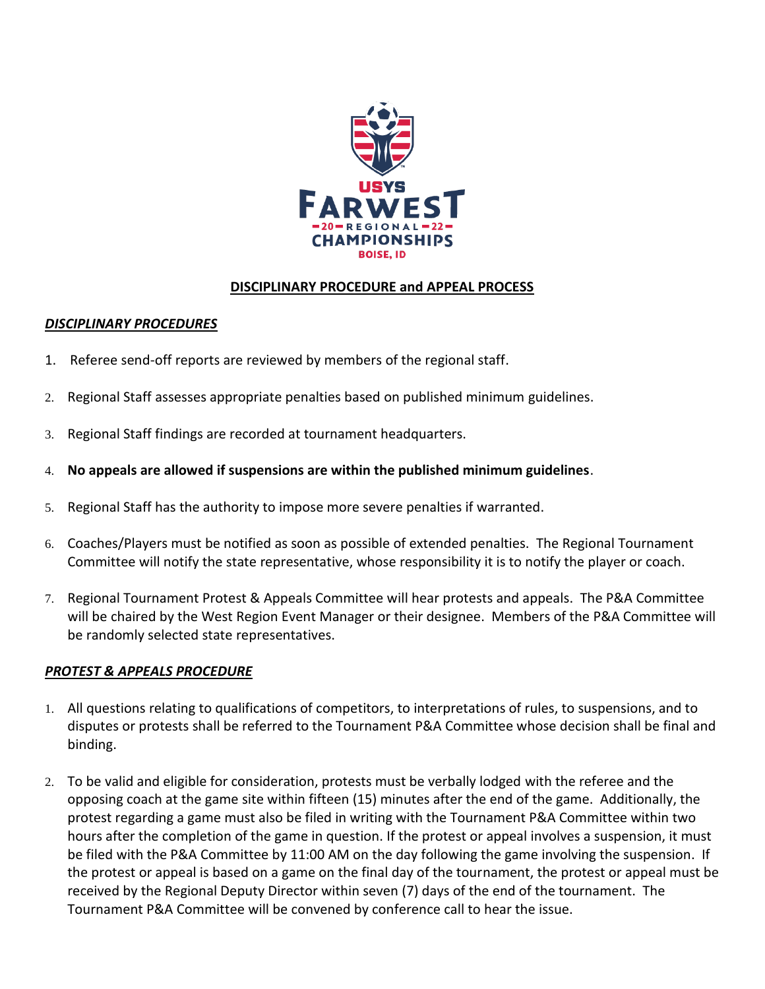

### **DISCIPLINARY PROCEDURE and APPEAL PROCESS**

#### *DISCIPLINARY PROCEDURES*

- 1. Referee send-off reports are reviewed by members of the regional staff.
- 2. Regional Staff assesses appropriate penalties based on published minimum guidelines.
- 3. Regional Staff findings are recorded at tournament headquarters.
- 4. **No appeals are allowed if suspensions are within the published minimum guidelines**.
- 5. Regional Staff has the authority to impose more severe penalties if warranted.
- 6. Coaches/Players must be notified as soon as possible of extended penalties. The Regional Tournament Committee will notify the state representative, whose responsibility it is to notify the player or coach.
- 7. Regional Tournament Protest & Appeals Committee will hear protests and appeals. The P&A Committee will be chaired by the West Region Event Manager or their designee. Members of the P&A Committee will be randomly selected state representatives.

#### *PROTEST & APPEALS PROCEDURE*

- 1. All questions relating to qualifications of competitors, to interpretations of rules, to suspensions, and to disputes or protests shall be referred to the Tournament P&A Committee whose decision shall be final and binding.
- 2. To be valid and eligible for consideration, protests must be verbally lodged with the referee and the opposing coach at the game site within fifteen (15) minutes after the end of the game. Additionally, the protest regarding a game must also be filed in writing with the Tournament P&A Committee within two hours after the completion of the game in question. If the protest or appeal involves a suspension, it must be filed with the P&A Committee by 11:00 AM on the day following the game involving the suspension. If the protest or appeal is based on a game on the final day of the tournament, the protest or appeal must be received by the Regional Deputy Director within seven (7) days of the end of the tournament. The Tournament P&A Committee will be convened by conference call to hear the issue.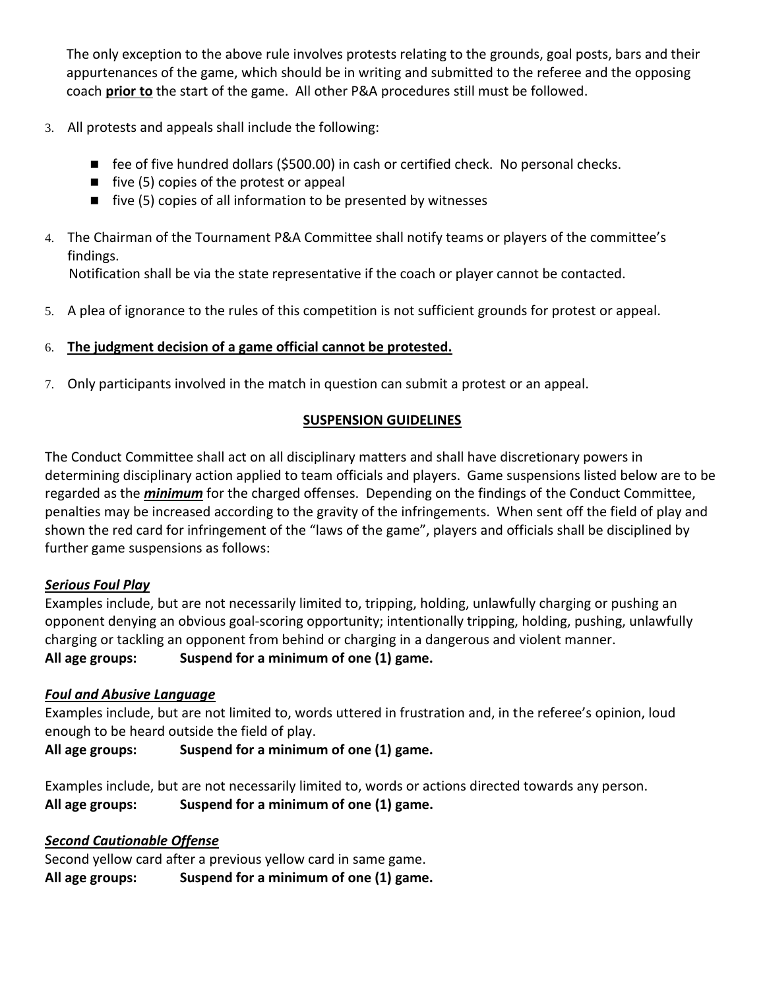The only exception to the above rule involves protests relating to the grounds, goal posts, bars and their appurtenances of the game, which should be in writing and submitted to the referee and the opposing coach **prior to** the start of the game. All other P&A procedures still must be followed.

- 3. All protests and appeals shall include the following:
	- fee of five hundred dollars (\$500.00) in cash or certified check. No personal checks.
	- five (5) copies of the protest or appeal
	- five (5) copies of all information to be presented by witnesses
- 4. The Chairman of the Tournament P&A Committee shall notify teams or players of the committee's findings.

Notification shall be via the state representative if the coach or player cannot be contacted.

5. A plea of ignorance to the rules of this competition is not sufficient grounds for protest or appeal.

## 6. **The judgment decision of a game official cannot be protested.**

7. Only participants involved in the match in question can submit a protest or an appeal.

### **SUSPENSION GUIDELINES**

The Conduct Committee shall act on all disciplinary matters and shall have discretionary powers in determining disciplinary action applied to team officials and players. Game suspensions listed below are to be regarded as the *minimum* for the charged offenses. Depending on the findings of the Conduct Committee, penalties may be increased according to the gravity of the infringements. When sent off the field of play and shown the red card for infringement of the "laws of the game", players and officials shall be disciplined by further game suspensions as follows:

### *Serious Foul Play*

Examples include, but are not necessarily limited to, tripping, holding, unlawfully charging or pushing an opponent denying an obvious goal-scoring opportunity; intentionally tripping, holding, pushing, unlawfully charging or tackling an opponent from behind or charging in a dangerous and violent manner. **All age groups: Suspend for a minimum of one (1) game.**

### *Foul and Abusive Language*

Examples include, but are not limited to, words uttered in frustration and, in the referee's opinion, loud enough to be heard outside the field of play.

**All age groups: Suspend for a minimum of one (1) game.**

Examples include, but are not necessarily limited to, words or actions directed towards any person. **All age groups: Suspend for a minimum of one (1) game.**

# *Second Cautionable Offense*

Second yellow card after a previous yellow card in same game. **All age groups: Suspend for a minimum of one (1) game.**